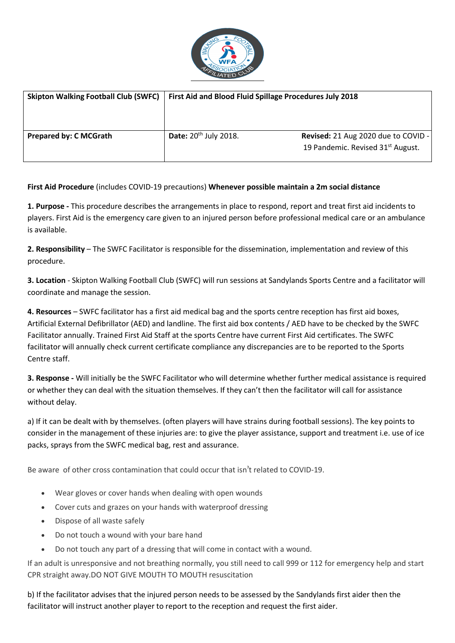

| <b>Skipton Walking Football Club (SWFC)</b> | First Aid and Blood Fluid Spillage Procedures July 2018 |                                               |
|---------------------------------------------|---------------------------------------------------------|-----------------------------------------------|
| <b>Prepared by: C MCGrath</b>               | Date: $20th$ July 2018.                                 | Revised: 21 Aug 2020 due to COVID -           |
|                                             |                                                         | 19 Pandemic. Revised 31 <sup>st</sup> August. |

## **First Aid Procedure** (includes COVID-19 precautions) **Whenever possible maintain a 2m social distance**

**1. Purpose -** This procedure describes the arrangements in place to respond, report and treat first aid incidents to players. First Aid is the emergency care given to an injured person before professional medical care or an ambulance is available.

**2. Responsibility** – The SWFC Facilitator is responsible for the dissemination, implementation and review of this procedure.

**3. Location** - Skipton Walking Football Club (SWFC) will run sessions at Sandylands Sports Centre and a facilitator will coordinate and manage the session.

**4. Resources** – SWFC facilitator has a first aid medical bag and the sports centre reception has first aid boxes, Artificial External Defibrillator (AED) and landline. The first aid box contents / AED have to be checked by the SWFC Facilitator annually. Trained First Aid Staff at the sports Centre have current First Aid certificates. The SWFC facilitator will annually check current certificate compliance any discrepancies are to be reported to the Sports Centre staff.

**3. Response -** Will initially be the SWFC Facilitator who will determine whether further medical assistance is required or whether they can deal with the situation themselves. If they can't then the facilitator will call for assistance without delay.

a) If it can be dealt with by themselves. (often players will have strains during football sessions). The key points to consider in the management of these injuries are: to give the player assistance, support and treatment i.e. use of ice packs, sprays from the SWFC medical bag, rest and assurance.

Be aware of other cross contamination that could occur that isn't related to COVID-19.

- Wear gloves or cover hands when dealing with open wounds
- Cover cuts and grazes on your hands with waterproof dressing
- Dispose of all waste safely
- Do not touch a wound with your bare hand
- Do not touch any part of a dressing that will come in contact with a wound.

If an adult is unresponsive and not breathing normally, you still need to call 999 or 112 for emergency help and start CPR straight away.DO NOT GIVE MOUTH TO MOUTH resuscitation

b) If the facilitator advises that the injured person needs to be assessed by the Sandylands first aider then the facilitator will instruct another player to report to the reception and request the first aider.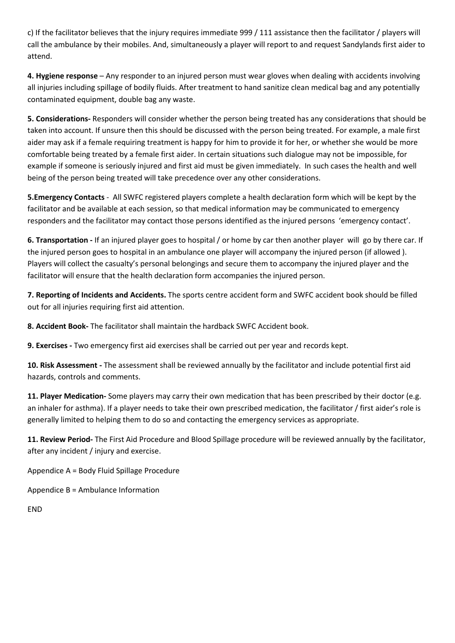c) If the facilitator believes that the injury requires immediate 999 / 111 assistance then the facilitator / players will call the ambulance by their mobiles. And, simultaneously a player will report to and request Sandylands first aider to attend.

**4. Hygiene response** – Any responder to an injured person must wear gloves when dealing with accidents involving all injuries including spillage of bodily fluids. After treatment to hand sanitize clean medical bag and any potentially contaminated equipment, double bag any waste.

**5. Considerations-** Responders will consider whether the person being treated has any considerations that should be taken into account. If unsure then this should be discussed with the person being treated. For example, a male first aider may ask if a female requiring treatment is happy for him to provide it for her, or whether she would be more comfortable being treated by a female first aider. In certain situations such dialogue may not be impossible, for example if someone is seriously injured and first aid must be given immediately. In such cases the health and well being of the person being treated will take precedence over any other considerations.

**5.Emergency Contacts** - AllSWFC registered players complete a health declaration form which will be kept by the facilitator and be available at each session, so that medical information may be communicated to emergency responders and the facilitator may contact those persons identified as the injured persons 'emergency contact'.

**6. Transportation -** If an injured player goes to hospital / or home by car then anotherplayer will go by there car. If the injured person goes to hospital in an ambulance one player will accompany the injured person (if allowed ).<br>Players will collect the casualty's personal belongings and secure them to accompany the injured player and th facilitator will ensure that the health declaration form accompanies the injured person.

**7. Reporting of Incidents and Accidents.** The sports centre accident form and SWFC accident book should be filled out for all injuries requiring first aid attention.

**8. Accident Book-** The facilitator shall maintain the hardback SWFC Accident book.

**9. Exercises -** Two emergency first aid exercises shall be carried out per year and records kept.

**10. Risk Assessment -** The assessment shall be reviewed annually by the facilitator and include potential first aid hazards, controls and comments.

**11. Player Medication-** Some players may carry their own medication that has been prescribed by their doctor (e.g. an inhaler for asthma). If a player needs to take their own prescribed medication, the facilitator / first aider's role is generally limited to helping them to do so and contacting the emergency services as appropriate.

**11. Review Period-** The First Aid Procedure and Blood Spillage procedure will be reviewed annually by the facilitator, after any incident / injury and exercise.

Appendice A = Body Fluid Spillage Procedure

Appendice B = Ambulance Information

END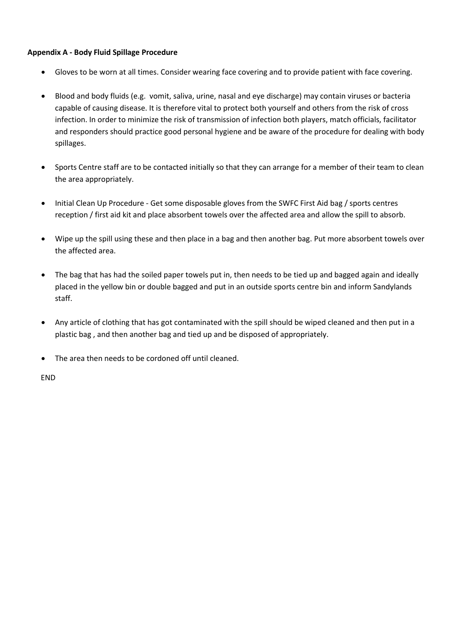## **Appendix A - Body Fluid Spillage Procedure**

- Gloves to be worn at all times. Consider wearing face covering and to provide patient with face covering.
- Blood and body fluids (e.g. vomit, saliva, urine, nasal and eye discharge) may contain viruses or bacteria capable of causing disease. It is therefore vital to protect both yourself and others from the risk of cross infection. In order to minimize the risk of transmission of infection both players, match officials, facilitator and responders should practice good personal hygiene and be aware of the procedure for dealing with body spillages.
- Sports Centre staff are to be contacted initially so that they can arrange for a member of their team to clean the area appropriately.
- Initial Clean Up Procedure Get some disposable gloves from the SWFC First Aid bag / sports centres reception / first aid kit and place absorbent towels over the affected area and allow the spill to absorb.
- Wipe up the spill using these and then place in a bag and then another bag. Put more absorbent towels over the affected area.
- The bag that has had the soiled paper towels put in, then needs to be tied up and bagged again and ideally placed in the yellow bin or double bagged and put in an outside sports centre bin and inform Sandylands staff.
- Any article of clothing that has got contaminated with the spill should be wiped cleaned and then put in a plastic bag , and then another bag and tied up and be disposed of appropriately.
- The area then needs to be cordoned off until cleaned.

END